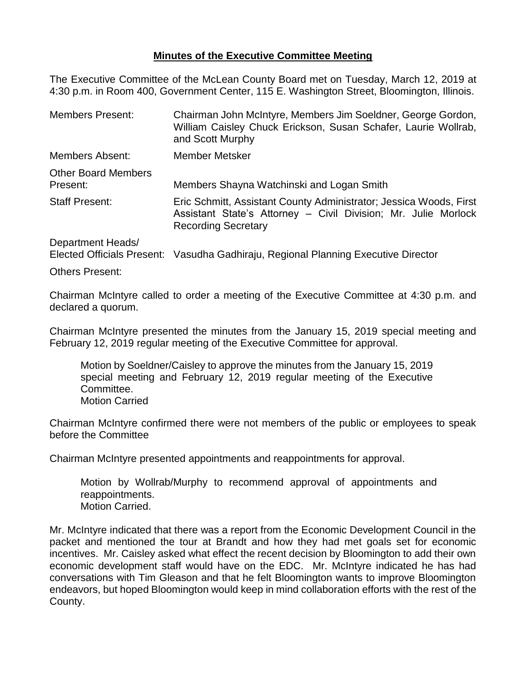## **Minutes of the Executive Committee Meeting**

The Executive Committee of the McLean County Board met on Tuesday, March 12, 2019 at 4:30 p.m. in Room 400, Government Center, 115 E. Washington Street, Bloomington, Illinois.

| <b>Members Present:</b>                | Chairman John McIntyre, Members Jim Soeldner, George Gordon,<br>William Caisley Chuck Erickson, Susan Schafer, Laurie Wollrab,<br>and Scott Murphy                 |
|----------------------------------------|--------------------------------------------------------------------------------------------------------------------------------------------------------------------|
| <b>Members Absent:</b>                 | Member Metsker                                                                                                                                                     |
| <b>Other Board Members</b><br>Present: | Members Shayna Watchinski and Logan Smith                                                                                                                          |
| <b>Staff Present:</b>                  | Eric Schmitt, Assistant County Administrator; Jessica Woods, First<br>Assistant State's Attorney - Civil Division; Mr. Julie Morlock<br><b>Recording Secretary</b> |
| Department Heads/                      |                                                                                                                                                                    |

Department Heads/

Elected Officials Present: Vasudha Gadhiraju, Regional Planning Executive Director

Others Present:

Chairman McIntyre called to order a meeting of the Executive Committee at 4:30 p.m. and declared a quorum.

Chairman McIntyre presented the minutes from the January 15, 2019 special meeting and February 12, 2019 regular meeting of the Executive Committee for approval.

Motion by Soeldner/Caisley to approve the minutes from the January 15, 2019 special meeting and February 12, 2019 regular meeting of the Executive Committee. Motion Carried

Chairman McIntyre confirmed there were not members of the public or employees to speak before the Committee

Chairman McIntyre presented appointments and reappointments for approval.

Motion by Wollrab/Murphy to recommend approval of appointments and reappointments. Motion Carried.

Mr. McIntyre indicated that there was a report from the Economic Development Council in the packet and mentioned the tour at Brandt and how they had met goals set for economic incentives. Mr. Caisley asked what effect the recent decision by Bloomington to add their own economic development staff would have on the EDC. Mr. McIntyre indicated he has had conversations with Tim Gleason and that he felt Bloomington wants to improve Bloomington endeavors, but hoped Bloomington would keep in mind collaboration efforts with the rest of the County.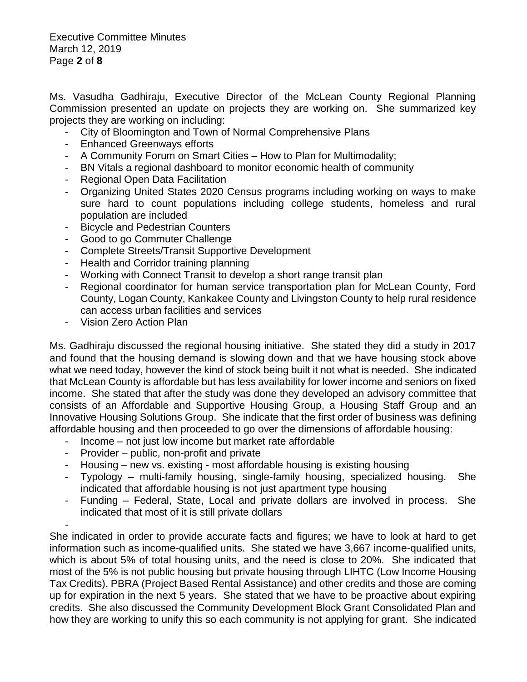Executive Committee Minutes March 12, 2019 Page **2** of **8**

Ms. Vasudha Gadhiraju, Executive Director of the McLean County Regional Planning Commission presented an update on projects they are working on. She summarized key projects they are working on including:

- City of Bloomington and Town of Normal Comprehensive Plans
- Enhanced Greenways efforts
- A Community Forum on Smart Cities How to Plan for Multimodality;
- BN Vitals a regional dashboard to monitor economic health of community
- Regional Open Data Facilitation
- Organizing United States 2020 Census programs including working on ways to make sure hard to count populations including college students, homeless and rural population are included
- Bicycle and Pedestrian Counters
- Good to go Commuter Challenge
- Complete Streets/Transit Supportive Development
- Health and Corridor training planning
- Working with Connect Transit to develop a short range transit plan
- Regional coordinator for human service transportation plan for McLean County, Ford County, Logan County, Kankakee County and Livingston County to help rural residence can access urban facilities and services
- Vision Zero Action Plan

Ms. Gadhiraju discussed the regional housing initiative. She stated they did a study in 2017 and found that the housing demand is slowing down and that we have housing stock above what we need today, however the kind of stock being built it not what is needed. She indicated that McLean County is affordable but has less availability for lower income and seniors on fixed income. She stated that after the study was done they developed an advisory committee that consists of an Affordable and Supportive Housing Group, a Housing Staff Group and an Innovative Housing Solutions Group. She indicate that the first order of business was defining affordable housing and then proceeded to go over the dimensions of affordable housing:

- Income not just low income but market rate affordable
- Provider public, non-profit and private
- Housing new vs. existing most affordable housing is existing housing
- Typology multi-family housing, single-family housing, specialized housing. She indicated that affordable housing is not just apartment type housing
- Funding Federal, State, Local and private dollars are involved in process. She indicated that most of it is still private dollars

- She indicated in order to provide accurate facts and figures; we have to look at hard to get information such as income-qualified units. She stated we have 3,667 income-qualified units, which is about 5% of total housing units, and the need is close to 20%. She indicated that most of the 5% is not public housing but private housing through LIHTC (Low Income Housing Tax Credits), PBRA (Project Based Rental Assistance) and other credits and those are coming up for expiration in the next 5 years. She stated that we have to be proactive about expiring credits. She also discussed the Community Development Block Grant Consolidated Plan and how they are working to unify this so each community is not applying for grant. She indicated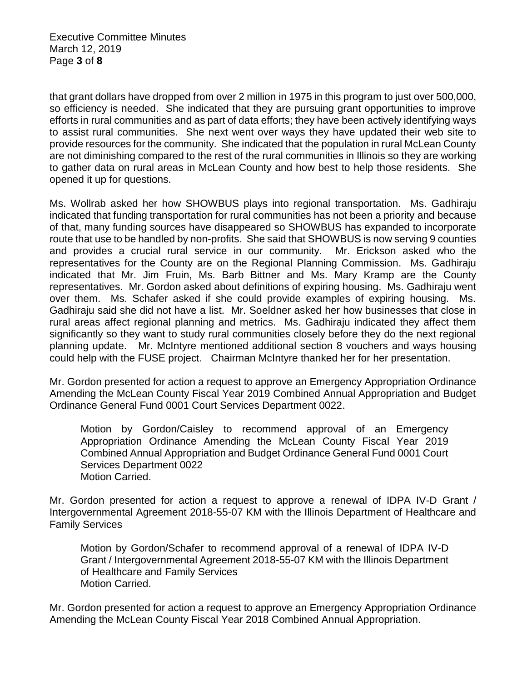Executive Committee Minutes March 12, 2019 Page **3** of **8**

that grant dollars have dropped from over 2 million in 1975 in this program to just over 500,000, so efficiency is needed. She indicated that they are pursuing grant opportunities to improve efforts in rural communities and as part of data efforts; they have been actively identifying ways to assist rural communities. She next went over ways they have updated their web site to provide resources for the community. She indicated that the population in rural McLean County are not diminishing compared to the rest of the rural communities in Illinois so they are working to gather data on rural areas in McLean County and how best to help those residents. She opened it up for questions.

Ms. Wollrab asked her how SHOWBUS plays into regional transportation. Ms. Gadhiraju indicated that funding transportation for rural communities has not been a priority and because of that, many funding sources have disappeared so SHOWBUS has expanded to incorporate route that use to be handled by non-profits. She said that SHOWBUS is now serving 9 counties and provides a crucial rural service in our community. Mr. Erickson asked who the representatives for the County are on the Regional Planning Commission. Ms. Gadhiraju indicated that Mr. Jim Fruin, Ms. Barb Bittner and Ms. Mary Kramp are the County representatives. Mr. Gordon asked about definitions of expiring housing. Ms. Gadhiraju went over them. Ms. Schafer asked if she could provide examples of expiring housing. Ms. Gadhiraju said she did not have a list. Mr. Soeldner asked her how businesses that close in rural areas affect regional planning and metrics. Ms. Gadhiraju indicated they affect them significantly so they want to study rural communities closely before they do the next regional planning update. Mr. McIntyre mentioned additional section 8 vouchers and ways housing could help with the FUSE project. Chairman McIntyre thanked her for her presentation.

Mr. Gordon presented for action a request to approve an Emergency Appropriation Ordinance Amending the McLean County Fiscal Year 2019 Combined Annual Appropriation and Budget Ordinance General Fund 0001 Court Services Department 0022.

Motion by Gordon/Caisley to recommend approval of an Emergency Appropriation Ordinance Amending the McLean County Fiscal Year 2019 Combined Annual Appropriation and Budget Ordinance General Fund 0001 Court Services Department 0022 Motion Carried.

Mr. Gordon presented for action a request to approve a renewal of IDPA IV-D Grant / Intergovernmental Agreement 2018-55-07 KM with the Illinois Department of Healthcare and Family Services

Motion by Gordon/Schafer to recommend approval of a renewal of IDPA IV-D Grant / Intergovernmental Agreement 2018-55-07 KM with the Illinois Department of Healthcare and Family Services Motion Carried.

Mr. Gordon presented for action a request to approve an Emergency Appropriation Ordinance Amending the McLean County Fiscal Year 2018 Combined Annual Appropriation.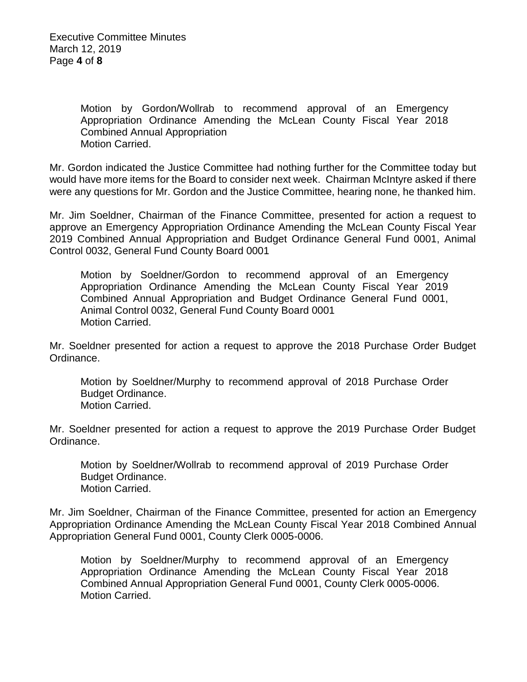Executive Committee Minutes March 12, 2019 Page **4** of **8**

> Motion by Gordon/Wollrab to recommend approval of an Emergency Appropriation Ordinance Amending the McLean County Fiscal Year 2018 Combined Annual Appropriation Motion Carried.

Mr. Gordon indicated the Justice Committee had nothing further for the Committee today but would have more items for the Board to consider next week. Chairman McIntyre asked if there were any questions for Mr. Gordon and the Justice Committee, hearing none, he thanked him.

Mr. Jim Soeldner, Chairman of the Finance Committee, presented for action a request to approve an Emergency Appropriation Ordinance Amending the McLean County Fiscal Year 2019 Combined Annual Appropriation and Budget Ordinance General Fund 0001, Animal Control 0032, General Fund County Board 0001

Motion by Soeldner/Gordon to recommend approval of an Emergency Appropriation Ordinance Amending the McLean County Fiscal Year 2019 Combined Annual Appropriation and Budget Ordinance General Fund 0001, Animal Control 0032, General Fund County Board 0001 Motion Carried.

Mr. Soeldner presented for action a request to approve the 2018 Purchase Order Budget Ordinance.

Motion by Soeldner/Murphy to recommend approval of 2018 Purchase Order Budget Ordinance. Motion Carried.

Mr. Soeldner presented for action a request to approve the 2019 Purchase Order Budget Ordinance.

Motion by Soeldner/Wollrab to recommend approval of 2019 Purchase Order Budget Ordinance. Motion Carried.

Mr. Jim Soeldner, Chairman of the Finance Committee, presented for action an Emergency Appropriation Ordinance Amending the McLean County Fiscal Year 2018 Combined Annual Appropriation General Fund 0001, County Clerk 0005-0006.

Motion by Soeldner/Murphy to recommend approval of an Emergency Appropriation Ordinance Amending the McLean County Fiscal Year 2018 Combined Annual Appropriation General Fund 0001, County Clerk 0005-0006. Motion Carried.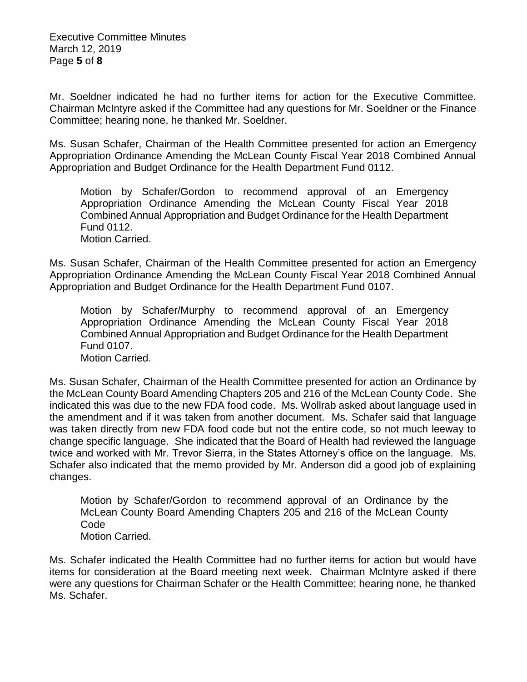Executive Committee Minutes March 12, 2019 Page **5** of **8**

Mr. Soeldner indicated he had no further items for action for the Executive Committee. Chairman McIntyre asked if the Committee had any questions for Mr. Soeldner or the Finance Committee; hearing none, he thanked Mr. Soeldner.

Ms. Susan Schafer, Chairman of the Health Committee presented for action an Emergency Appropriation Ordinance Amending the McLean County Fiscal Year 2018 Combined Annual Appropriation and Budget Ordinance for the Health Department Fund 0112.

Motion by Schafer/Gordon to recommend approval of an Emergency Appropriation Ordinance Amending the McLean County Fiscal Year 2018 Combined Annual Appropriation and Budget Ordinance for the Health Department Fund 0112. Motion Carried.

Ms. Susan Schafer, Chairman of the Health Committee presented for action an Emergency Appropriation Ordinance Amending the McLean County Fiscal Year 2018 Combined Annual Appropriation and Budget Ordinance for the Health Department Fund 0107.

Motion by Schafer/Murphy to recommend approval of an Emergency Appropriation Ordinance Amending the McLean County Fiscal Year 2018 Combined Annual Appropriation and Budget Ordinance for the Health Department Fund 0107. Motion Carried.

Ms. Susan Schafer, Chairman of the Health Committee presented for action an Ordinance by the McLean County Board Amending Chapters 205 and 216 of the McLean County Code. She indicated this was due to the new FDA food code. Ms. Wollrab asked about language used in the amendment and if it was taken from another document. Ms. Schafer said that language was taken directly from new FDA food code but not the entire code, so not much leeway to change specific language. She indicated that the Board of Health had reviewed the language twice and worked with Mr. Trevor Sierra, in the States Attorney's office on the language. Ms. Schafer also indicated that the memo provided by Mr. Anderson did a good job of explaining changes.

Motion by Schafer/Gordon to recommend approval of an Ordinance by the McLean County Board Amending Chapters 205 and 216 of the McLean County Code Motion Carried.

Ms. Schafer indicated the Health Committee had no further items for action but would have items for consideration at the Board meeting next week. Chairman McIntyre asked if there were any questions for Chairman Schafer or the Health Committee; hearing none, he thanked Ms. Schafer.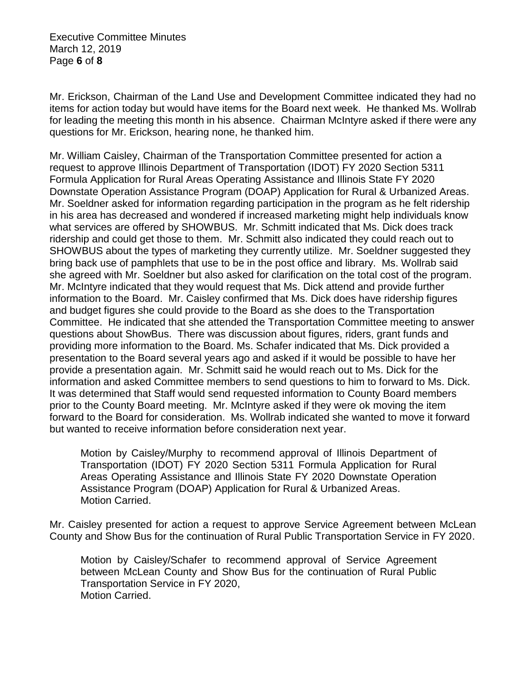Executive Committee Minutes March 12, 2019 Page **6** of **8**

Mr. Erickson, Chairman of the Land Use and Development Committee indicated they had no items for action today but would have items for the Board next week. He thanked Ms. Wollrab for leading the meeting this month in his absence. Chairman McIntyre asked if there were any questions for Mr. Erickson, hearing none, he thanked him.

Mr. William Caisley, Chairman of the Transportation Committee presented for action a request to approve Illinois Department of Transportation (IDOT) FY 2020 Section 5311 Formula Application for Rural Areas Operating Assistance and Illinois State FY 2020 Downstate Operation Assistance Program (DOAP) Application for Rural & Urbanized Areas. Mr. Soeldner asked for information regarding participation in the program as he felt ridership in his area has decreased and wondered if increased marketing might help individuals know what services are offered by SHOWBUS. Mr. Schmitt indicated that Ms. Dick does track ridership and could get those to them. Mr. Schmitt also indicated they could reach out to SHOWBUS about the types of marketing they currently utilize. Mr. Soeldner suggested they bring back use of pamphlets that use to be in the post office and library. Ms. Wollrab said she agreed with Mr. Soeldner but also asked for clarification on the total cost of the program. Mr. McIntyre indicated that they would request that Ms. Dick attend and provide further information to the Board. Mr. Caisley confirmed that Ms. Dick does have ridership figures and budget figures she could provide to the Board as she does to the Transportation Committee. He indicated that she attended the Transportation Committee meeting to answer questions about ShowBus. There was discussion about figures, riders, grant funds and providing more information to the Board. Ms. Schafer indicated that Ms. Dick provided a presentation to the Board several years ago and asked if it would be possible to have her provide a presentation again. Mr. Schmitt said he would reach out to Ms. Dick for the information and asked Committee members to send questions to him to forward to Ms. Dick. It was determined that Staff would send requested information to County Board members prior to the County Board meeting. Mr. McIntyre asked if they were ok moving the item forward to the Board for consideration. Ms. Wollrab indicated she wanted to move it forward but wanted to receive information before consideration next year.

Motion by Caisley/Murphy to recommend approval of Illinois Department of Transportation (IDOT) FY 2020 Section 5311 Formula Application for Rural Areas Operating Assistance and Illinois State FY 2020 Downstate Operation Assistance Program (DOAP) Application for Rural & Urbanized Areas. Motion Carried.

Mr. Caisley presented for action a request to approve Service Agreement between McLean County and Show Bus for the continuation of Rural Public Transportation Service in FY 2020.

Motion by Caisley/Schafer to recommend approval of Service Agreement between McLean County and Show Bus for the continuation of Rural Public Transportation Service in FY 2020, Motion Carried.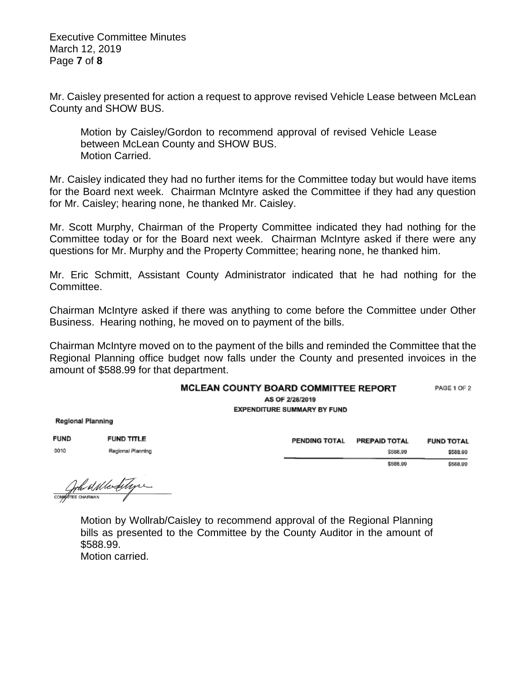Executive Committee Minutes March 12, 2019 Page **7** of **8**

Mr. Caisley presented for action a request to approve revised Vehicle Lease between McLean County and SHOW BUS.

Motion by Caisley/Gordon to recommend approval of revised Vehicle Lease between McLean County and SHOW BUS. Motion Carried.

Mr. Caisley indicated they had no further items for the Committee today but would have items for the Board next week. Chairman McIntyre asked the Committee if they had any question for Mr. Caisley; hearing none, he thanked Mr. Caisley.

Mr. Scott Murphy, Chairman of the Property Committee indicated they had nothing for the Committee today or for the Board next week. Chairman McIntyre asked if there were any questions for Mr. Murphy and the Property Committee; hearing none, he thanked him.

Mr. Eric Schmitt, Assistant County Administrator indicated that he had nothing for the Committee.

Chairman McIntyre asked if there was anything to come before the Committee under Other Business. Hearing nothing, he moved on to payment of the bills.

Chairman McIntyre moved on to the payment of the bills and reminded the Committee that the Regional Planning office budget now falls under the County and presented invoices in the amount of \$588.99 for that department.

## MCLEAN COUNTY BOARD COMMITTEE REPORT PAGE 1 OF 2

AS OF 2/28/2019 **EXPENDITURE SUMMARY BY FUND** 

**Regional Planning** 

**FUND FUND TITLE** 0010 Regional Planning

| <b>PENDING TOTAL</b> | <b>PREPAID TOTAL</b> | <b>FUND TOTAL</b> |  |
|----------------------|----------------------|-------------------|--|
|                      | \$588,99             | \$588.99          |  |
|                      | \$588.99             | \$588.99          |  |

Compten al Merditype

Motion by Wollrab/Caisley to recommend approval of the Regional Planning bills as presented to the Committee by the County Auditor in the amount of \$588.99.

Motion carried.